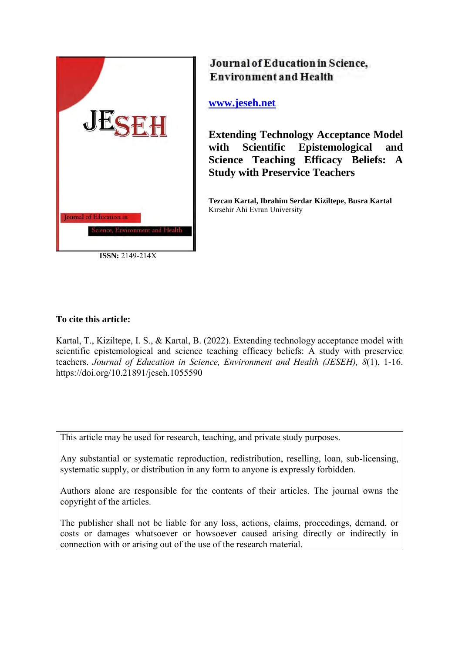

**ISSN:** 2149-214X

# Journal of Education in Science, **Environment and Health**

# **[www.jeseh.net](file:///C:/Users/mustafa/Desktop/www.jeseh.net)**

**Extending Technology Acceptance Model with Scientific Epistemological and Science Teaching Efficacy Beliefs: A Study with Preservice Teachers**

**Tezcan Kartal, Ibrahim Serdar Kiziltepe, Busra Kartal** Kırsehir Ahi Evran University

## **To cite this article:**

Kartal, T., Kiziltepe, I. S., & Kartal, B. (2022). Extending technology acceptance model with scientific epistemological and science teaching efficacy beliefs: A study with preservice teachers. *Journal of Education in Science, Environment and Health (JESEH), 8*(1), 1-16. https://doi.org/10.21891/jeseh.1055590

This article may be used for research, teaching, and private study purposes.

Any substantial or systematic reproduction, redistribution, reselling, loan, sub-licensing, systematic supply, or distribution in any form to anyone is expressly forbidden.

Authors alone are responsible for the contents of their articles. The journal owns the copyright of the articles.

The publisher shall not be liable for any loss, actions, claims, proceedings, demand, or costs or damages whatsoever or howsoever caused arising directly or indirectly in connection with or arising out of the use of the research material.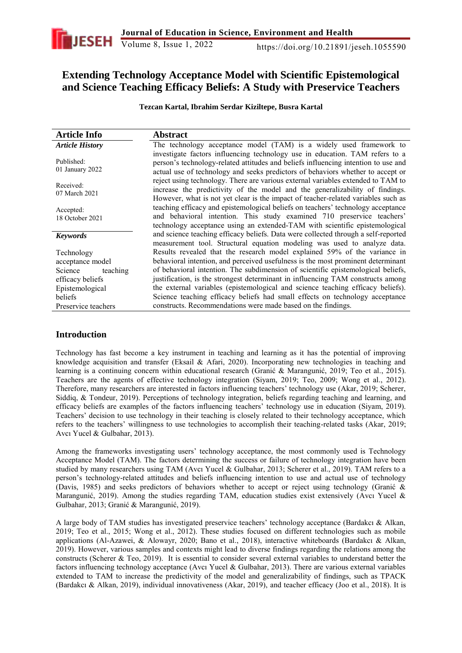# **Extending Technology Acceptance Model with Scientific Epistemological and Science Teaching Efficacy Beliefs: A Study with Preservice Teachers**

**Tezcan Kartal, Ibrahim Serdar Kiziltepe, Busra Kartal** 

| <b>Article Info</b>           | <b>Abstract</b>                                                                                                                                                                                                                                       |
|-------------------------------|-------------------------------------------------------------------------------------------------------------------------------------------------------------------------------------------------------------------------------------------------------|
| <b>Article History</b>        | The technology acceptance model (TAM) is a widely used framework to                                                                                                                                                                                   |
| Published:<br>01 January 2022 | investigate factors influencing technology use in education. TAM refers to a<br>person's technology-related attitudes and beliefs influencing intention to use and<br>actual use of technology and seeks predictors of behaviors whether to accept or |
| Received:<br>07 March 2021    | reject using technology. There are various external variables extended to TAM to<br>increase the predictivity of the model and the generalizability of findings.<br>However, what is not yet clear is the impact of teacher-related variables such as |
| Accepted:<br>18 October 2021  | teaching efficacy and epistemological beliefs on teachers' technology acceptance<br>and behavioral intention. This study examined 710 preservice teachers'<br>technology acceptance using an extended-TAM with scientific epistemological             |
| <b>Keywords</b>               | and science teaching efficacy beliefs. Data were collected through a self-reported<br>measurement tool. Structural equation modeling was used to analyze data.                                                                                        |
| Technology                    | Results revealed that the research model explained 59% of the variance in                                                                                                                                                                             |
| acceptance model              | behavioral intention, and perceived usefulness is the most prominent determinant                                                                                                                                                                      |
| Science<br>teaching           | of behavioral intention. The subdimension of scientific epistemological beliefs,                                                                                                                                                                      |
| efficacy beliefs              | justification, is the strongest determinant in influencing TAM constructs among                                                                                                                                                                       |
| Epistemological               | the external variables (epistemological and science teaching efficacy beliefs).                                                                                                                                                                       |
| beliefs                       | Science teaching efficacy beliefs had small effects on technology acceptance                                                                                                                                                                          |
| Preservice teachers           | constructs. Recommendations were made based on the findings.                                                                                                                                                                                          |

## **Introduction**

Technology has fast become a key instrument in teaching and learning as it has the potential of improving knowledge acquisition and transfer (Eksail & Afari, 2020). Incorporating new technologies in teaching and learning is a continuing concern within educational research (Granić & Marangunić, 2019; Teo et al., 2015). Teachers are the agents of effective technology integration (Siyam, 2019; Teo, 2009; Wong et al., 2012). Therefore, many researchers are interested in factors influencing teachers' technology use (Akar, 2019; Scherer, Siddiq, & Tondeur, 2019). Perceptions of technology integration, beliefs regarding teaching and learning, and efficacy beliefs are examples of the factors influencing teachers' technology use in education (Siyam, 2019). Teachers' decision to use technology in their teaching is closely related to their technology acceptance, which refers to the teachers' willingness to use technologies to accomplish their teaching-related tasks (Akar, 2019; Avcı Yucel & Gulbahar, 2013).

Among the frameworks investigating users' technology acceptance, the most commonly used is Technology Acceptance Model (TAM). The factors determining the success or failure of technology integration have been studied by many researchers using TAM (Avcı Yucel & Gulbahar, 2013; Scherer et al., 2019). TAM refers to a person's technology-related attitudes and beliefs influencing intention to use and actual use of technology (Davis, 1985) and seeks predictors of behaviors whether to accept or reject using technology (Granić & Marangunić, 2019). Among the studies regarding TAM, education studies exist extensively (Avcı Yucel & Gulbahar, 2013; Granić & Marangunić, 2019).

A large body of TAM studies has investigated preservice teachers' technology acceptance (Bardakcı & Alkan, 2019; Teo et al., 2015; Wong et al., 2012). These studies focused on different technologies such as mobile applications (Al-Azawei, & Alowayr, 2020; Bano et al., 2018), interactive whiteboards (Bardakcı & Alkan, 2019). However, various samples and contexts might lead to diverse findings regarding the relations among the constructs (Scherer & Teo, 2019). It is essential to consider several external variables to understand better the factors influencing technology acceptance (Avcı Yucel & Gulbahar, 2013). There are various external variables extended to TAM to increase the predictivity of the model and generalizability of findings, such as TPACK (Bardakcı & Alkan, 2019), individual innovativeness (Akar, 2019), and teacher efficacy (Joo et al., 2018). It is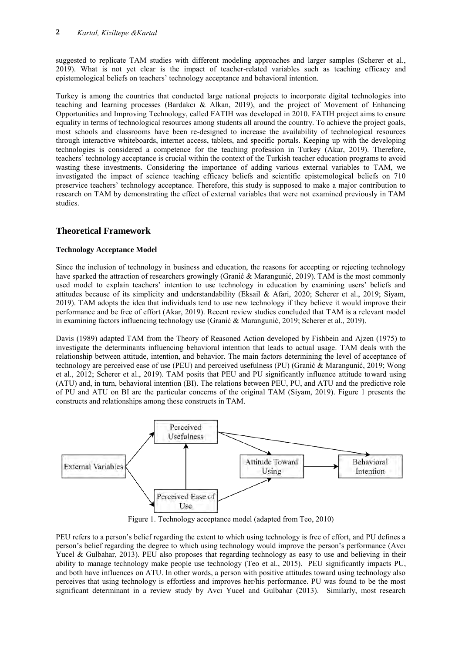suggested to replicate TAM studies with different modeling approaches and larger samples (Scherer et al., 2019). What is not yet clear is the impact of teacher-related variables such as teaching efficacy and epistemological beliefs on teachers' technology acceptance and behavioral intention.

Turkey is among the countries that conducted large national projects to incorporate digital technologies into teaching and learning processes (Bardakcı & Alkan, 2019), and the project of Movement of Enhancing Opportunities and Improving Technology, called FATIH was developed in 2010. FATIH project aims to ensure equality in terms of technological resources among students all around the country. To achieve the project goals, most schools and classrooms have been re-designed to increase the availability of technological resources through interactive whiteboards, internet access, tablets, and specific portals. Keeping up with the developing technologies is considered a competence for the teaching profession in Turkey (Akar, 2019). Therefore, teachers' technology acceptance is crucial within the context of the Turkish teacher education programs to avoid wasting these investments. Considering the importance of adding various external variables to TAM, we investigated the impact of science teaching efficacy beliefs and scientific epistemological beliefs on 710 preservice teachers' technology acceptance. Therefore, this study is supposed to make a major contribution to research on TAM by demonstrating the effect of external variables that were not examined previously in TAM studies.

## **Theoretical Framework**

### **Technology Acceptance Model**

Since the inclusion of technology in business and education, the reasons for accepting or rejecting technology have sparked the attraction of researchers growingly (Granić & Marangunić, 2019). TAM is the most commonly used model to explain teachers' intention to use technology in education by examining users' beliefs and attitudes because of its simplicity and understandability (Eksail & Afari, 2020; Scherer et al., 2019; Siyam, 2019). TAM adopts the idea that individuals tend to use new technology if they believe it would improve their performance and be free of effort (Akar, 2019). Recent review studies concluded that TAM is a relevant model in examining factors influencing technology use (Granić & Marangunić, 2019; Scherer et al., 2019).

Davis (1989) adapted TAM from the Theory of Reasoned Action developed by Fishbein and Ajzen (1975) to investigate the determinants influencing behavioral intention that leads to actual usage. TAM deals with the relationship between attitude, intention, and behavior. The main factors determining the level of acceptance of technology are perceived ease of use (PEU) and perceived usefulness (PU) (Granić & Marangunić, 2019; Wong et al., 2012; Scherer et al., 2019). TAM posits that PEU and PU significantly influence attitude toward using (ATU) and, in turn, behavioral intention (BI). The relations between PEU, PU, and ATU and the predictive role of PU and ATU on BI are the particular concerns of the original TAM (Siyam, 2019). Figure 1 presents the constructs and relationships among these constructs in TAM.



Figure 1. Technology acceptance model (adapted from Teo, 2010)

PEU refers to a person's belief regarding the extent to which using technology is free of effort, and PU defines a person's belief regarding the degree to which using technology would improve the person's performance (Avcı Yucel & Gulbahar, 2013). PEU also proposes that regarding technology as easy to use and believing in their ability to manage technology make people use technology (Teo et al., 2015). PEU significantly impacts PU, and both have influences on ATU. In other words, a person with positive attitudes toward using technology also perceives that using technology is effortless and improves her/his performance. PU was found to be the most significant determinant in a review study by Avcı Yucel and Gulbahar (2013). Similarly, most research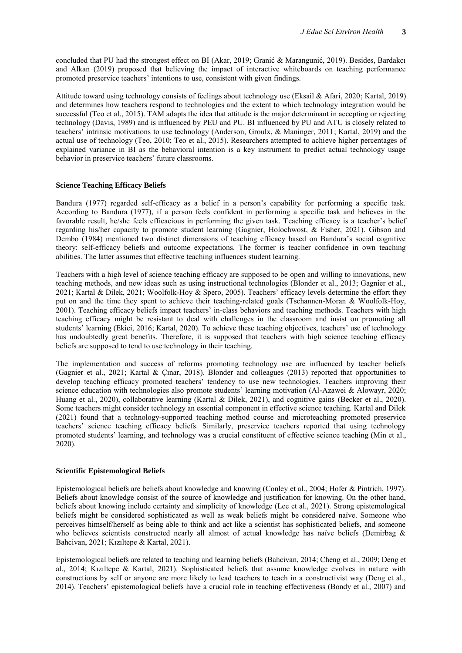concluded that PU had the strongest effect on BI (Akar, 2019; Granić & Marangunić, 2019). Besides, Bardakcı and Alkan (2019) proposed that believing the impact of interactive whiteboards on teaching performance promoted preservice teachers' intentions to use, consistent with given findings.

Attitude toward using technology consists of feelings about technology use (Eksail & Afari, 2020; Kartal, 2019) and determines how teachers respond to technologies and the extent to which technology integration would be successful (Teo et al., 2015). TAM adapts the idea that attitude is the major determinant in accepting or rejecting technology (Davis, 1989) and is influenced by PEU and PU. BI influenced by PU and ATU is closely related to teachers' intrinsic motivations to use technology (Anderson, Groulx, & Maninger, 2011; Kartal, 2019) and the actual use of technology (Teo, 2010; Teo et al., 2015). Researchers attempted to achieve higher percentages of explained variance in BI as the behavioral intention is a key instrument to predict actual technology usage behavior in preservice teachers' future classrooms.

#### **Science Teaching Efficacy Beliefs**

Bandura (1977) regarded self-efficacy as a belief in a person's capability for performing a specific task. According to Bandura (1977), if a person feels confident in performing a specific task and believes in the favorable result, he/she feels efficacious in performing the given task. Teaching efficacy is a teacher's belief regarding his/her capacity to promote student learning (Gagnier, Holochwost, & Fisher, 2021). Gibson and Dembo (1984) mentioned two distinct dimensions of teaching efficacy based on Bandura's social cognitive theory: self-efficacy beliefs and outcome expectations. The former is teacher confidence in own teaching abilities. The latter assumes that effective teaching influences student learning.

Teachers with a high level of science teaching efficacy are supposed to be open and willing to innovations, new teaching methods, and new ideas such as using instructional technologies (Blonder et al., 2013; Gagnier et al., 2021; Kartal & Dilek, 2021; Woolfolk-Hoy & Spero, 2005). Teachers' efficacy levels determine the effort they put on and the time they spent to achieve their teaching-related goals (Tschannen-Moran & Woolfolk-Hoy, 2001). Teaching efficacy beliefs impact teachers' in-class behaviors and teaching methods. Teachers with high teaching efficacy might be resistant to deal with challenges in the classroom and insist on promoting all students' learning (Ekici, 2016; Kartal, 2020). To achieve these teaching objectives, teachers' use of technology has undoubtedly great benefits. Therefore, it is supposed that teachers with high science teaching efficacy beliefs are supposed to tend to use technology in their teaching.

The implementation and success of reforms promoting technology use are influenced by teacher beliefs (Gagnier et al., 2021; Kartal & Çınar, 2018). Blonder and colleagues (2013) reported that opportunities to develop teaching efficacy promoted teachers' tendency to use new technologies. Teachers improving their science education with technologies also promote students' learning motivation (Al-Azawei & Alowayr, 2020; Huang et al., 2020), collaborative learning (Kartal & Dilek, 2021), and cognitive gains (Becker et al., 2020). Some teachers might consider technology an essential component in effective science teaching. Kartal and Dilek (2021) found that a technology-supported teaching method course and microteaching promoted preservice teachers' science teaching efficacy beliefs. Similarly, preservice teachers reported that using technology promoted students' learning, and technology was a crucial constituent of effective science teaching (Min et al., 2020).

#### **Scientific Epistemological Beliefs**

Epistemological beliefs are beliefs about knowledge and knowing (Conley et al., 2004; Hofer & Pintrich, 1997). Beliefs about knowledge consist of the source of knowledge and justification for knowing. On the other hand, beliefs about knowing include certainty and simplicity of knowledge (Lee et al., 2021). Strong epistemological beliefs might be considered sophisticated as well as weak beliefs might be considered naïve. Someone who perceives himself/herself as being able to think and act like a scientist has sophisticated beliefs, and someone who believes scientists constructed nearly all almost of actual knowledge has naïve beliefs (Demirbag & Bahcivan, 2021; Kızıltepe & Kartal, 2021).

Epistemological beliefs are related to teaching and learning beliefs (Bahcivan, 2014; Cheng et al., 2009; Deng et al., 2014; Kızıltepe & Kartal, 2021). Sophisticated beliefs that assume knowledge evolves in nature with constructions by self or anyone are more likely to lead teachers to teach in a constructivist way (Deng et al., 2014). Teachers' epistemological beliefs have a crucial role in teaching effectiveness (Bondy et al., 2007) and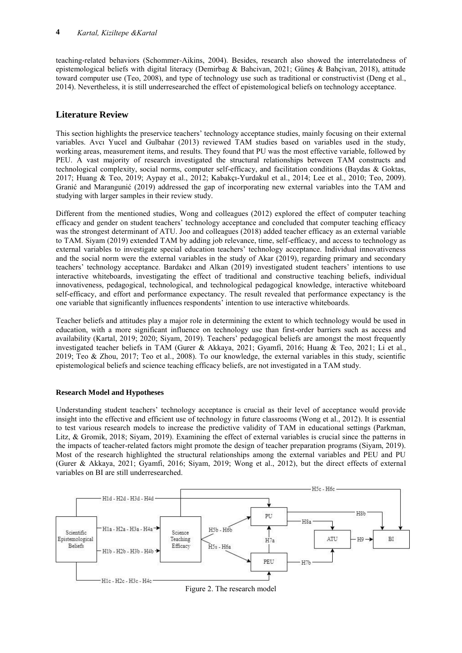teaching-related behaviors (Schommer-Aikins, 2004). Besides, research also showed the interrelatedness of epistemological beliefs with digital literacy (Demirbag & Bahcivan, 2021; Güneş & Bahçivan, 2018), attitude toward computer use (Teo, 2008), and type of technology use such as traditional or constructivist (Deng et al., 2014). Nevertheless, it is still underresearched the effect of epistemological beliefs on technology acceptance.

# **Literature Review**

This section highlights the preservice teachers' technology acceptance studies, mainly focusing on their external variables. Avcı Yucel and Gulbahar (2013) reviewed TAM studies based on variables used in the study, working areas, measurement items, and results. They found that PU was the most effective variable, followed by PEU. A vast majority of research investigated the structural relationships between TAM constructs and technological complexity, social norms, computer self-efficacy, and facilitation conditions (Baydas & Goktas, 2017; Huang & Teo, 2019; Aypay et al., 2012; Kabakçı-Yurdakul et al., 2014; Lee et al., 2010; Teo, 2009). Granić and Marangunić (2019) addressed the gap of incorporating new external variables into the TAM and studying with larger samples in their review study.

Different from the mentioned studies, Wong and colleagues (2012) explored the effect of computer teaching efficacy and gender on student teachers' technology acceptance and concluded that computer teaching efficacy was the strongest determinant of ATU. Joo and colleagues (2018) added teacher efficacy as an external variable to TAM. Siyam (2019) extended TAM by adding job relevance, time, self-efficacy, and access to technology as external variables to investigate special education teachers' technology acceptance. Individual innovativeness and the social norm were the external variables in the study of Akar (2019), regarding primary and secondary teachers' technology acceptance. Bardakcı and Alkan (2019) investigated student teachers' intentions to use interactive whiteboards, investigating the effect of traditional and constructive teaching beliefs, individual innovativeness, pedagogical, technological, and technological pedagogical knowledge, interactive whiteboard self-efficacy, and effort and performance expectancy. The result revealed that performance expectancy is the one variable that significantly influences respondents' intention to use interactive whiteboards.

Teacher beliefs and attitudes play a major role in determining the extent to which technology would be used in education, with a more significant influence on technology use than first-order barriers such as access and availability (Kartal, 2019; 2020; Siyam, 2019). Teachers' pedagogical beliefs are amongst the most frequently investigated teacher beliefs in TAM (Gurer & Akkaya, 2021; Gyamfi, 2016; Huang & Teo, 2021; Li et al., 2019; Teo & Zhou, 2017; Teo et al., 2008). To our knowledge, the external variables in this study, scientific epistemological beliefs and science teaching efficacy beliefs, are not investigated in a TAM study.

### **Research Model and Hypotheses**

Understanding student teachers' technology acceptance is crucial as their level of acceptance would provide insight into the effective and efficient use of technology in future classrooms (Wong et al., 2012). It is essential to test various research models to increase the predictive validity of TAM in educational settings (Parkman, Litz, & Gromik, 2018; Siyam, 2019). Examining the effect of external variables is crucial since the patterns in the impacts of teacher-related factors might promote the design of teacher preparation programs (Siyam, 2019). Most of the research highlighted the structural relationships among the external variables and PEU and PU (Gurer & Akkaya, 2021; Gyamfi, 2016; Siyam, 2019; Wong et al., 2012), but the direct effects of external variables on BI are still underresearched.



Figure 2. The research model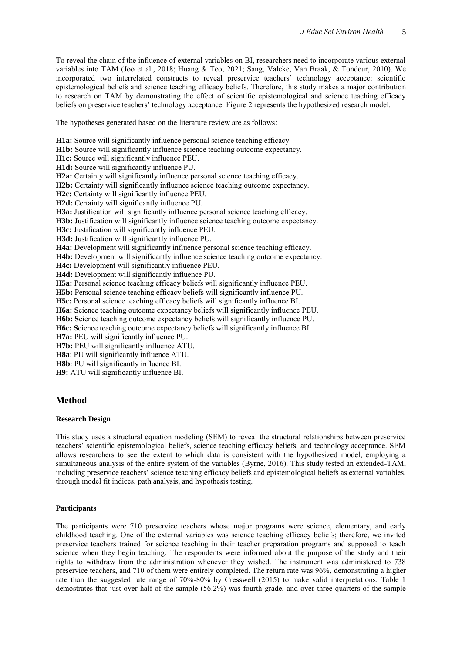To reveal the chain of the influence of external variables on BI, researchers need to incorporate various external variables into TAM (Joo et al., 2018; Huang & Teo, 2021; Sang, Valcke, Van Braak, & Tondeur, 2010). We incorporated two interrelated constructs to reveal preservice teachers' technology acceptance: scientific epistemological beliefs and science teaching efficacy beliefs. Therefore, this study makes a major contribution to research on TAM by demonstrating the effect of scientific epistemological and science teaching efficacy beliefs on preservice teachers' technology acceptance. Figure 2 represents the hypothesized research model.

The hypotheses generated based on the literature review are as follows:

**H1a:** Source will significantly influence personal science teaching efficacy. **H1b:** Source will significantly influence science teaching outcome expectancy. **H1c:** Source will significantly influence PEU. **H1d:** Source will significantly influence PU. **H2a:** Certainty will significantly influence personal science teaching efficacy. **H2b:** Certainty will significantly influence science teaching outcome expectancy. **H2c:** Certainty will significantly influence PEU. **H2d:** Certainty will significantly influence PU. **H3a:** Justification will significantly influence personal science teaching efficacy. H3b: Justification will significantly influence science teaching outcome expectancy. H3c: Justification will significantly influence PEU. **H3d:** Justification will significantly influence PU. **H4a:** Development will significantly influence personal science teaching efficacy. **H4b:** Development will significantly influence science teaching outcome expectancy. **H4c:** Development will significantly influence PEU. **H4d:** Development will significantly influence PU. **H5a:** Personal science teaching efficacy beliefs will significantly influence PEU. **H5b:** Personal science teaching efficacy beliefs will significantly influence PU. **H5c:** Personal science teaching efficacy beliefs will significantly influence BI. **H6a: S**cience teaching outcome expectancy beliefs will significantly influence PEU. **H6b: S**cience teaching outcome expectancy beliefs will significantly influence PU. **H6c: S**cience teaching outcome expectancy beliefs will significantly influence BI. **H7a:** PEU will significantly influence PU. **H7b:** PEU will significantly influence ATU. **H8a**: PU will significantly influence ATU. **H8b**: PU will significantly influence BI. **H9:** ATU will significantly influence BI.

#### **Method**

#### **Research Design**

This study uses a structural equation modeling (SEM) to reveal the structural relationships between preservice teachers' scientific epistemological beliefs, science teaching efficacy beliefs, and technology acceptance. SEM allows researchers to see the extent to which data is consistent with the hypothesized model, employing a simultaneous analysis of the entire system of the variables (Byrne, 2016). This study tested an extended-TAM, including preservice teachers' science teaching efficacy beliefs and epistemological beliefs as external variables, through model fit indices, path analysis, and hypothesis testing.

#### **Participants**

The participants were 710 preservice teachers whose major programs were science, elementary, and early childhood teaching. One of the external variables was science teaching efficacy beliefs; therefore, we invited preservice teachers trained for science teaching in their teacher preparation programs and supposed to teach science when they begin teaching. The respondents were informed about the purpose of the study and their rights to withdraw from the administration whenever they wished. The instrument was administered to 738 preservice teachers, and 710 of them were entirely completed. The return rate was 96%, demonstrating a higher rate than the suggested rate range of 70%-80% by Cresswell (2015) to make valid interpretations. Table 1 demostrates that just over half of the sample (56.2%) was fourth-grade, and over three-quarters of the sample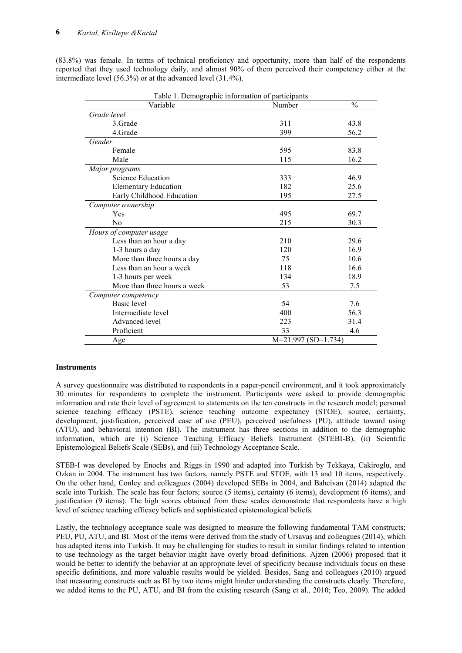(83.8%) was female. In terms of technical proficiency and opportunity, more than half of the respondents reported that they used technology daily, and almost 90% of them perceived their competency either at the intermediate level (56.3%) or at the advanced level (31.4%).

| Table 1. Demographic information of participants |                       |               |  |
|--------------------------------------------------|-----------------------|---------------|--|
| Variable                                         | Number                | $\frac{0}{0}$ |  |
| Grade level                                      |                       |               |  |
| 3.Grade                                          | 311                   | 43.8          |  |
| 4.Grade                                          | 399                   | 56.2          |  |
| Gender                                           |                       |               |  |
| Female                                           | 595                   | 83.8          |  |
| Male                                             | 115                   | 16.2          |  |
| Major programs                                   |                       |               |  |
| Science Education                                | 333                   | 46.9          |  |
| <b>Elementary Education</b>                      | 182                   | 25.6          |  |
| Early Childhood Education                        | 195                   | 27.5          |  |
| Computer ownership                               |                       |               |  |
| Yes                                              | 495                   | 69.7          |  |
| N <sub>0</sub>                                   | 215                   | 30.3          |  |
| Hours of computer usage                          |                       |               |  |
| Less than an hour a day                          | 210                   | 29.6          |  |
| 1-3 hours a day                                  | 120                   | 16.9          |  |
| More than three hours a day                      | 75                    | 10.6          |  |
| Less than an hour a week                         | 118                   | 16.6          |  |
| 1-3 hours per week                               | 134                   | 18.9          |  |
| More than three hours a week                     | 53                    | 7.5           |  |
| Computer competency                              |                       |               |  |
| <b>Basic</b> level                               | 54                    | 7.6           |  |
| Intermediate level                               | 400                   | 56.3          |  |
| Advanced level                                   | 223                   | 31.4          |  |
| Proficient                                       | 33                    | 4.6           |  |
| Age                                              | $M=21.997 (SD=1.734)$ |               |  |

 $T$  1. Demographic information of participants in  $P$ 

#### **Instruments**

A survey questionnaire was distributed to respondents in a paper-pencil environment, and it took approximately 30 minutes for respondents to complete the instrument. Participants were asked to provide demographic information and rate their level of agreement to statements on the ten constructs in the research model; personal science teaching efficacy (PSTE), science teaching outcome expectancy (STOE), source, certainty, development, justification, perceived ease of use (PEU), perceived usefulness (PU), attitude toward using (ATU), and behavioral intention (BI). The instrument has three sections in addition to the demographic information, which are (i) Science Teaching Efficacy Beliefs Instrument (STEBI-B), (ii) Scientific Epistemological Beliefs Scale (SEBs), and (iii) Technology Acceptance Scale.

STEB-I was developed by Enochs and Riggs in 1990 and adapted into Turkish by Tekkaya, Cakiroglu, and Ozkan in 2004. The instrument has two factors, namely PSTE and STOE, with 13 and 10 items, respectively. On the other hand, Conley and colleagues (2004) developed SEBs in 2004, and Bahcivan (2014) adapted the scale into Turkish. The scale has four factors; source (5 items), certainty (6 items), development (6 items), and justification (9 items). The high scores obtained from these scales demonstrate that respondents have a high level of science teaching efficacy beliefs and sophisticated epistemological beliefs.

Lastly, the technology acceptance scale was designed to measure the following fundamental TAM constructs; PEU, PU, ATU, and BI. Most of the items were derived from the study of Ursavaş and colleagues (2014), which has adapted items into Turkish. It may be challenging for studies to result in similar findings related to intention to use technology as the target behavior might have overly broad definitions. Ajzen (2006) proposed that it would be better to identify the behavior at an appropriate level of specificity because individuals focus on these specific definitions, and more valuable results would be yielded. Besides, Sang and colleagues (2010) argued that measuring constructs such as BI by two items might hinder understanding the constructs clearly. Therefore, we added items to the PU, ATU, and BI from the existing research (Sang et al., 2010; Teo, 2009). The added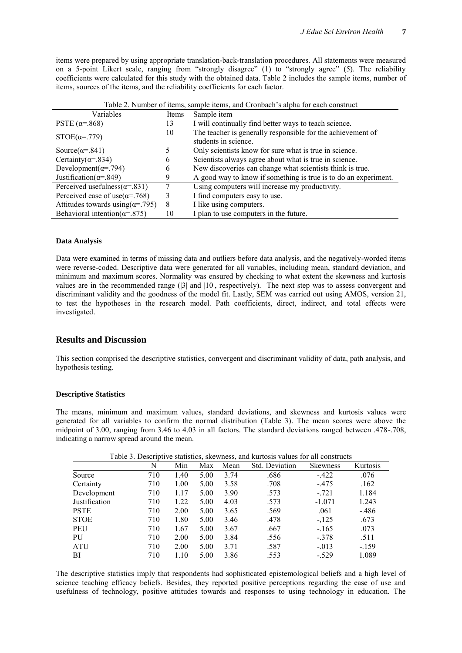items were prepared by using appropriate translation-back-translation procedures. All statements were measured on a 5-point Likert scale, ranging from "strongly disagree" (1) to "strongly agree" (5). The reliability coefficients were calculated for this study with the obtained data. Table 2 includes the sample items, number of items, sources of the items, and the reliability coefficients for each factor.

| Variables                                 | Items | Tuble 2. Tumber of hems, sample hems, and cromoden s alpha for each construct<br>Sample item |
|-------------------------------------------|-------|----------------------------------------------------------------------------------------------|
| PSTE $(\alpha = 868)$                     | 13    | I will continually find better ways to teach science.                                        |
| $STOE(\alpha=.779)$                       | 10    | The teacher is generally responsible for the achievement of                                  |
|                                           |       | students in science.                                                                         |
| Source( $\alpha = .841$ )                 |       | Only scientists know for sure what is true in science.                                       |
| Certainty( $\alpha$ =.834)                | 6     | Scientists always agree about what is true in science.                                       |
| Development( $\alpha$ =.794)              | b     | New discoveries can change what scientists think is true.                                    |
| Justification( $\alpha$ =.849)            | 9     | A good way to know if something is true is to do an experiment.                              |
| Perceived usefulness( $\alpha$ =.831)     |       | Using computers will increase my productivity.                                               |
| Perceived ease of use $(\alpha = 768)$    | 3     | I find computers easy to use.                                                                |
| Attitudes towards using $(\alpha = .795)$ | 8     | I like using computers.                                                                      |
| Behavioral intention( $\alpha$ =.875)     | 10    | I plan to use computers in the future.                                                       |

Table 2. Number of items, sample items, and Cronbach's alpha for each construct

#### **Data Analysis**

Data were examined in terms of missing data and outliers before data analysis, and the negatively-worded items were reverse-coded. Descriptive data were generated for all variables, including mean, standard deviation, and minimum and maximum scores. Normality was ensured by checking to what extent the skewness and kurtosis values are in the recommended range (|3| and |10|, respectively). The next step was to assess convergent and discriminant validity and the goodness of the model fit. Lastly, SEM was carried out using AMOS, version 21, to test the hypotheses in the research model. Path coefficients, direct, indirect, and total effects were investigated.

### **Results and Discussion**

This section comprised the descriptive statistics, convergent and discriminant validity of data, path analysis, and hypothesis testing.

#### **Descriptive Statistics**

The means, minimum and maximum values, standard deviations, and skewness and kurtosis values were generated for all variables to confirm the normal distribution (Table 3). The mean scores were above the midpoint of 3.00, ranging from 3.46 to 4.03 in all factors. The standard deviations ranged between .478-.708, indicating a narrow spread around the mean.

|               | N   | Min  | Max  | Mean | Std. Deviation | <b>Skewness</b> | Kurtosis |
|---------------|-----|------|------|------|----------------|-----------------|----------|
| Source        | 710 | 1.40 | 5.00 | 3.74 | .686           | $-422$          | .076     |
| Certainty     | 710 | 1.00 | 5.00 | 3.58 | .708           | $-475$          | .162     |
| Development   | 710 | 1.17 | 5.00 | 3.90 | .573           | $-.721$         | 1.184    |
| Justification | 710 | 1.22 | 5.00 | 4.03 | .573           | $-1.071$        | 1.243    |
| <b>PSTE</b>   | 710 | 2.00 | 5.00 | 3.65 | .569           | .061            | $-486$   |
| <b>STOE</b>   | 710 | 1.80 | 5.00 | 3.46 | .478           | $-125$          | .673     |
| PEU           | 710 | 1.67 | 5.00 | 3.67 | .667           | $-165$          | .073     |
| PU            | 710 | 2.00 | 5.00 | 3.84 | .556           | $-.378$         | .511     |
| <b>ATU</b>    | 710 | 2.00 | 5.00 | 3.71 | .587           | $-0.013$        | $-159$   |
| BI            | 710 | 1.10 | 5.00 | 3.86 | .553           | $-.529$         | 1.089    |

Table 3. Descriptive statistics, skewness, and kurtosis values for all constructs

The descriptive statistics imply that respondents had sophisticated epistemological beliefs and a high level of science teaching efficacy beliefs. Besides, they reported positive perceptions regarding the ease of use and usefulness of technology, positive attitudes towards and responses to using technology in education. The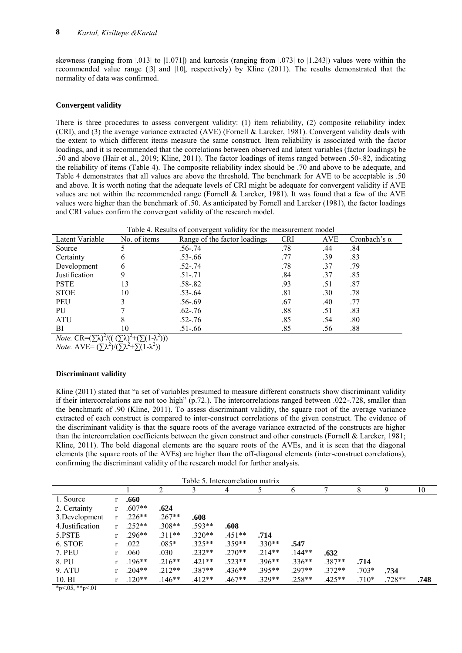skewness (ranging from |.013| to |1.071|) and kurtosis (ranging from |.073| to |1.243|) values were within the recommended value range (|3| and |10|, respectively) by Kline (2011). The results demonstrated that the normality of data was confirmed.

#### **Convergent validity**

There is three procedures to assess convergent validity: (1) item reliability, (2) composite reliability index (CRI), and (3) the average variance extracted (AVE) (Fornell & Larcker, 1981). Convergent validity deals with the extent to which different items measure the same construct. Item reliability is associated with the factor loadings, and it is recommended that the correlations between observed and latent variables (factor loadings) be .50 and above (Hair et al., 2019; Kline, 2011). The factor loadings of items ranged between .50-.82, indicating the reliability of items (Table 4). The composite reliability index should be .70 and above to be adequate, and Table 4 demonstrates that all values are above the threshold. The benchmark for AVE to be acceptable is .50 and above. It is worth noting that the adequate levels of CRI might be adequate for convergent validity if AVE values are not within the recommended range (Fornell & Larcker, 1981). It was found that a few of the AVE values were higher than the benchmark of .50. As anticipated by Fornell and Larcker (1981), the factor loadings and CRI values confirm the convergent validity of the research model.

| Table 4. Results of convergent validity for the measurement model                  |              |                              |            |     |                     |
|------------------------------------------------------------------------------------|--------------|------------------------------|------------|-----|---------------------|
| Latent Variable                                                                    | No. of items | Range of the factor loadings | <b>CRI</b> | AVE | Cronbach's $\alpha$ |
| Source                                                                             |              | $.56 - .74$                  | .78        | .44 | .84                 |
| Certainty                                                                          | b            | $.53 - .66$                  | .77        | .39 | .83                 |
| Development                                                                        | 6            | $.52 - .74$                  | .78        | .37 | .79                 |
| Justification                                                                      |              | $.51 - .71$                  | .84        | .37 | .85                 |
| <b>PSTE</b>                                                                        | 13           | $.58 - .82$                  | .93        | .51 | .87                 |
| <b>STOE</b>                                                                        | 10           | $.53 - .64$                  | .81        | .30 | .78                 |
| PEU                                                                                |              | $.56 - .69$                  | .67        | .40 | .77                 |
| <b>PU</b>                                                                          |              | $.62 - .76$                  | .88        | .51 | .83                 |
| <b>ATU</b>                                                                         |              | $.52 - .76$                  | .85        | .54 | .80                 |
| BI                                                                                 | 10           | $.51 - .66$                  | .85        | .56 | .88                 |
| <i>Note.</i> $CR = (\sum \lambda)^2/(( (\sum \lambda)^2 + (\sum (1 - \lambda^2)))$ |              |                              |            |     |                     |

*Note.*  $AVE = (\sum \lambda^2)/(\sum \lambda^2 + \sum (1 - \lambda^2))$ 

#### **Discriminant validity**

Kline (2011) stated that "a set of variables presumed to measure different constructs show discriminant validity if their intercorrelations are not too high" (p.72.). The intercorrelations ranged between .022-.728, smaller than the benchmark of .90 (Kline, 2011). To assess discriminant validity, the square root of the average variance extracted of each construct is compared to inter-construct correlations of the given construct. The evidence of the discriminant validity is that the square roots of the average variance extracted of the constructs are higher than the intercorrelation coefficients between the given construct and other constructs (Fornell & Larcker, 1981; Kline, 2011). The bold diagonal elements are the square roots of the AVEs, and it is seen that the diagonal elements (the square roots of the AVEs) are higher than the off-diagonal elements (inter-construct correlations), confirming the discriminant validity of the research model for further analysis.

| Table 5. Intercorrelation matrix |   |          |          |          |          |          |          |          |         |          |      |
|----------------------------------|---|----------|----------|----------|----------|----------|----------|----------|---------|----------|------|
|                                  |   |          |          |          | 4        |          | b        |          | 8       | 9        | 10   |
| 1. Source                        |   | .660     |          |          |          |          |          |          |         |          |      |
| 2. Certainty                     |   | $.607**$ | .624     |          |          |          |          |          |         |          |      |
| 3. Development                   | r | $.226**$ | $.267**$ | .608     |          |          |          |          |         |          |      |
| 4. Justification                 |   | $.252**$ | $.308**$ | $.593**$ | .608     |          |          |          |         |          |      |
| 5.PSTE                           |   | $.296**$ | $.311**$ | $.320**$ | $.451**$ | .714     |          |          |         |          |      |
| 6. STOE                          | r | .022     | $.085*$  | $.325**$ | 359**    | $.330**$ | .547     |          |         |          |      |
| <b>7. PEU</b>                    | r | .060     | .030     | $.232**$ | $.270**$ | $.214**$ | $144**$  | .632     |         |          |      |
| 8. PU                            |   | $.196**$ | $.216**$ | $.421**$ | $.523**$ | $.396**$ | $.336**$ | $.387**$ | .714    |          |      |
| <b>9. ATU</b>                    | r | $.204**$ | $.212**$ | $.387**$ | $.436**$ | $.395**$ | $.297**$ | $.372**$ | $.703*$ | .734     |      |
| $10. \text{BI}$<br>$\sim$ $\sim$ |   | $.120**$ | $.146**$ | $.412**$ | $.467**$ | $.329**$ | $.258**$ | $.425**$ | $.710*$ | $.728**$ | .748 |

 $*p<.05, **p<.01$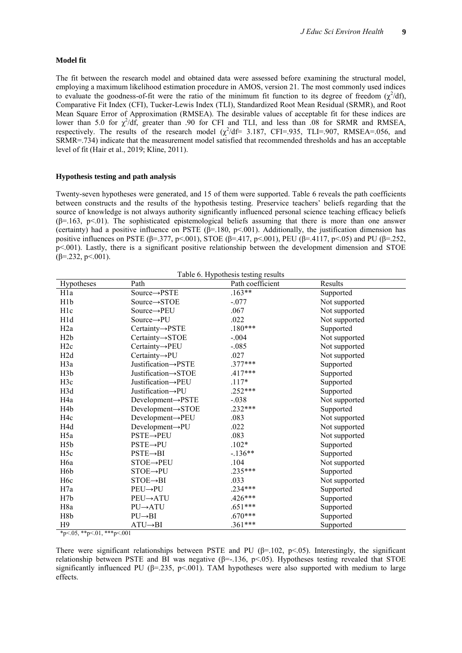#### **Model fit**

The fit between the research model and obtained data were assessed before examining the structural model, employing a maximum likelihood estimation procedure in AMOS, version 21. The most commonly used indices to evaluate the goodness-of-fit were the ratio of the minimum fit function to its degree of freedom  $(\chi^2/df)$ , Comparative Fit Index (CFI), Tucker-Lewis Index (TLI), Standardized Root Mean Residual (SRMR), and Root Mean Square Error of Approximation (RMSEA). The desirable values of acceptable fit for these indices are lower than 5.0 for  $\chi^2/df$ , greater than .90 for CFI and TLI, and less than .08 for SRMR and RMSEA, respectively. The results of the research model  $(\chi^2/df= 3.187, CFI=935, TLI=907, RMSEA=0.056, and$  $SRMR = 734$ ) indicate that the measurement model satisfied that recommended thresholds and has an acceptable level of fit (Hair et al., 2019; Kline, 2011).

#### **Hypothesis testing and path analysis**

Twenty-seven hypotheses were generated, and 15 of them were supported. Table 6 reveals the path coefficients between constructs and the results of the hypothesis testing. Preservice teachers' beliefs regarding that the source of knowledge is not always authority significantly influenced personal science teaching efficacy beliefs  $(\beta=163, p<.01)$ . The sophisticated epistemological beliefs assuming that there is more than one answer (certainty) had a positive influence on PSTE ( $\beta$ =.180, p<.001). Additionally, the justification dimension has positive influences on PSTE (β=.377, p<.001), STOE (β=.417, p<.001), PEU (β=.4117, p<.05) and PU (β=.252, p<.001). Lastly, there is a significant positive relationship between the development dimension and STOE  $(\beta = 232, \, p \leq 001)$ .

| Hypotheses       | Path                           | Path coefficient | Results       |
|------------------|--------------------------------|------------------|---------------|
| H <sub>1</sub> a | Source→PSTE                    | $.163**$         | Supported     |
| H <sub>1</sub> p | $Source \rightarrow STOE$      | $-.077$          | Not supported |
| H <sub>1</sub> c | Source $\rightarrow$ PEU       | .067             | Not supported |
| H1d              | Source $\rightarrow$ PU        | .022             | Not supported |
| H <sub>2</sub> a | $Certainty \rightarrow PSTE$   | $.180***$        | Supported     |
| H2b              | $Certainty \rightarrow STOE$   | $-.004$          | Not supported |
| H2c              | Certainty→PEU                  | $-.085$          | Not supported |
| H2d              | $Centainty\rightarrow PU$      | .027             | Not supported |
| H3a              | Justification->PSTE            | $.377***$        | Supported     |
| H <sub>3</sub> b | Justification-STOE             | $.417***$        | Supported     |
| H3c              | Justification->PEU             | $.117*$          | Supported     |
| H3d              | Justification->PU              | $.252***$        | Supported     |
| H <sub>4a</sub>  | $Development \rightarrow PSTE$ | $-.038$          | Not supported |
| H <sub>4</sub> b | Development $\rightarrow$ STOE | $.232***$        | Supported     |
| H <sub>4c</sub>  | $Development \rightarrow PEU$  | .083             | Not supported |
| H4d              | $Development \rightarrow PU$   | .022             | Not supported |
| H <sub>5</sub> a | $PSTE\rightarrow PEU$          | .083             | Not supported |
| H <sub>5</sub> b | $PSTE\rightarrow PU$           | $.102*$          | Supported     |
| H <sub>5c</sub>  | $PSTE \rightarrow BI$          | $-136**$         | Supported     |
| H <sub>6</sub> a | $STOE \rightarrow PEU$         | .104             | Not supported |
| H <sub>6</sub> b | $STOE \rightarrow PU$          | .235***          | Supported     |
| H <sub>6</sub> c | $STOE \rightarrow BI$          | .033             | Not supported |
| H7a              | $PEU \rightarrow PU$           | $.234***$        | Supported     |
| H7b              | $PEU \rightarrow ATU$          | .426***          | Supported     |
| H <sub>8</sub> a | $PU \rightarrow ATU$           | $.651***$        | Supported     |
| H8b              | $PU \rightarrow BI$            | $.670***$        | Supported     |
| H <sub>9</sub>   | $ATU \rightarrow BI$           | $.361***$        | Supported     |

 $*_{p \leq .05}$ ,  $*_{p \leq .01}$ ,  $*_{p \leq .001}$ 

There were significant relationships between PSTE and PU ( $\beta$ =.102, p<.05). Interestingly, the significant relationship between PSTE and BI was negative (β=-.136, p<.05). Hypotheses testing revealed that STOE significantly influenced PU ( $\beta$ =.235, p<.001). TAM hypotheses were also supported with medium to large effects.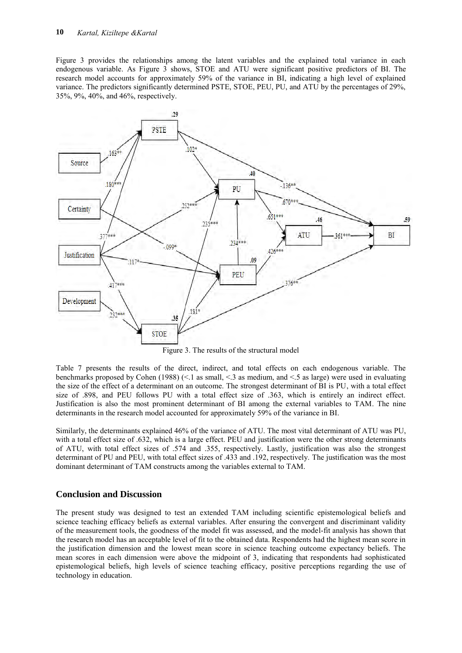Figure 3 provides the relationships among the latent variables and the explained total variance in each endogenous variable. As Figure 3 shows, STOE and ATU were significant positive predictors of BI. The research model accounts for approximately 59% of the variance in BI, indicating a high level of explained variance. The predictors significantly determined PSTE, STOE, PEU, PU, and ATU by the percentages of 29%, 35%, 9%, 40%, and 46%, respectively.



Figure 3. The results of the structural model

Table 7 presents the results of the direct, indirect, and total effects on each endogenous variable. The benchmarks proposed by Cohen (1988) (<.1 as small, <.3 as medium, and <.5 as large) were used in evaluating the size of the effect of a determinant on an outcome. The strongest determinant of BI is PU, with a total effect size of .898, and PEU follows PU with a total effect size of .363, which is entirely an indirect effect. Justification is also the most prominent determinant of BI among the external variables to TAM. The nine determinants in the research model accounted for approximately 59% of the variance in BI.

Similarly, the determinants explained 46% of the variance of ATU. The most vital determinant of ATU was PU, with a total effect size of .632, which is a large effect. PEU and justification were the other strong determinants of ATU, with total effect sizes of .574 and .355, respectively. Lastly, justification was also the strongest determinant of PU and PEU, with total effect sizes of .433 and .192, respectively. The justification was the most dominant determinant of TAM constructs among the variables external to TAM.

### **Conclusion and Discussion**

The present study was designed to test an extended TAM including scientific epistemological beliefs and science teaching efficacy beliefs as external variables. After ensuring the convergent and discriminant validity of the measurement tools, the goodness of the model fit was assessed, and the model-fit analysis has shown that the research model has an acceptable level of fit to the obtained data. Respondents had the highest mean score in the justification dimension and the lowest mean score in science teaching outcome expectancy beliefs. The mean scores in each dimension were above the midpoint of 3, indicating that respondents had sophisticated epistemological beliefs, high levels of science teaching efficacy, positive perceptions regarding the use of technology in education.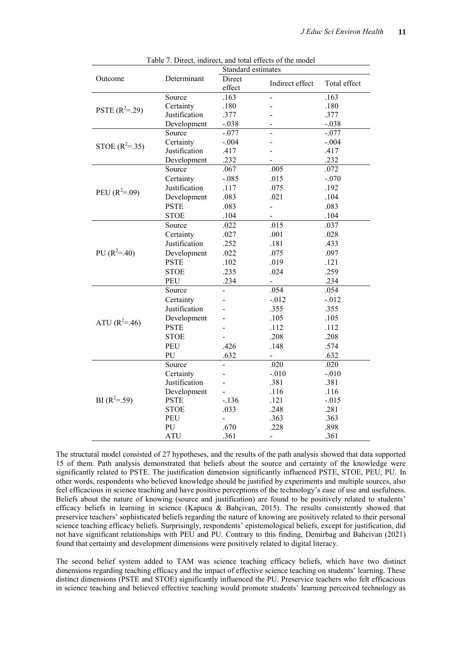| Table 7. Direct, indirect, and total effects of the model<br>Standard estimates |               |                          |                          |              |  |
|---------------------------------------------------------------------------------|---------------|--------------------------|--------------------------|--------------|--|
| Outcome                                                                         | Determinant   | Direct                   |                          |              |  |
|                                                                                 |               | effect                   | Indirect effect          | Total effect |  |
|                                                                                 | Source        | .163                     |                          | .163         |  |
|                                                                                 | Certainty     | .180                     |                          | .180         |  |
| PSTE $(R^2=29)$                                                                 | Justification | .377                     |                          | .377         |  |
|                                                                                 | Development   | $-.038$                  |                          | $-.038$      |  |
|                                                                                 | Source        | $-.077$                  | $\overline{a}$           | $-.077$      |  |
|                                                                                 | Certainty     | $-.004$                  |                          | $-.004$      |  |
| STOE $(R^2=.35)$                                                                | Justification | .417                     |                          | .417         |  |
|                                                                                 | Development   | .232                     |                          | .232         |  |
|                                                                                 | Source        | .067                     | .005                     | .072         |  |
|                                                                                 | Certainty     | $-.085$                  | .015                     | $-.070$      |  |
|                                                                                 | Justification | .117                     | .075                     | .192         |  |
| PEU $(R^2=0.09)$                                                                | Development   | .083                     | .021                     | .104         |  |
|                                                                                 | <b>PSTE</b>   | .083                     |                          | .083         |  |
|                                                                                 | <b>STOE</b>   | .104                     | $\overline{\phantom{a}}$ | .104         |  |
|                                                                                 | Source        | .022                     | .015                     | .037         |  |
|                                                                                 | Certainty     | .027                     | .001                     | .028         |  |
|                                                                                 | Justification | .252                     | .181                     | .433         |  |
| PU $(R^2 = .40)$                                                                | Development   | .022                     | .075                     | .097         |  |
|                                                                                 | <b>PSTE</b>   | .102                     | .019                     | .121         |  |
|                                                                                 | <b>STOE</b>   | .235                     | .024                     | .259         |  |
|                                                                                 | PEU           | .234                     | $\frac{1}{2}$            | .234         |  |
|                                                                                 | Source        |                          | .054                     | .054         |  |
|                                                                                 | Certainty     |                          | $-0.012$                 | $-012$       |  |
|                                                                                 | Justification |                          | .355                     | .355         |  |
|                                                                                 | Development   |                          | .105                     | .105         |  |
| ATU $(R^2 = .46)$                                                               | <b>PSTE</b>   |                          | .112                     | .112         |  |
|                                                                                 | <b>STOE</b>   |                          | .208                     | .208         |  |
|                                                                                 | PEU           | .426                     | .148                     | .574         |  |
|                                                                                 | PU            | .632                     | $\overline{a}$           | .632         |  |
|                                                                                 | Source        |                          | .020                     | .020         |  |
|                                                                                 | Certainty     | $\overline{a}$           | $-0.010$                 | $-.010$      |  |
|                                                                                 | Justification |                          | .381                     | .381         |  |
|                                                                                 | Development   |                          | .116                     | .116         |  |
| BI $(R^2=.59)$                                                                  | <b>PSTE</b>   | $-.136$                  | .121                     | $-0.015$     |  |
|                                                                                 | <b>STOE</b>   | .033                     | .248                     | .281         |  |
|                                                                                 | <b>PEU</b>    | $\overline{\phantom{0}}$ | .363                     | .363         |  |
|                                                                                 | PU            | .670                     | .228                     | .898         |  |
|                                                                                 | <b>ATU</b>    | .361                     | $\overline{\phantom{0}}$ | .361         |  |

Table 7. Direct, indirect, and total effects of the model

The structural model consisted of 27 hypotheses, and the results of the path analysis showed that data supported 15 of them. Path analysis demonstrated that beliefs about the source and certainty of the knowledge were significantly related to PSTE. The justification dimension significantly influenced PSTE, STOE, PEU, PU. In other words, respondents who believed knowledge should be justified by experiments and multiple sources, also feel efficacious in science teaching and have positive perceptions of the technology's ease of use and usefulness. Beliefs about the nature of knowing (source and justification) are found to be positively related to students' efficacy beliefs in learning in science (Kapucu & Bahçivan, 2015). The results consistently showed that preservice teachers' sophisticated beliefs regarding the nature of knowing are positively related to their personal science teaching efficacy beliefs. Surprisingly, respondents' epistemological beliefs, except for justification, did not have significant relationships with PEU and PU. Contrary to this finding, Demirbag and Bahcivan (2021) found that certainty and development dimensions were positively related to digital literacy.

The second belief system added to TAM was science teaching efficacy beliefs, which have two distinct dimensions regarding teaching efficacy and the impact of effective science teaching on students' learning. These distinct dimensions (PSTE and STOE) significantly influenced the PU. Preservice teachers who felt efficacious in science teaching and believed effective teaching would promote students' learning perceived technology as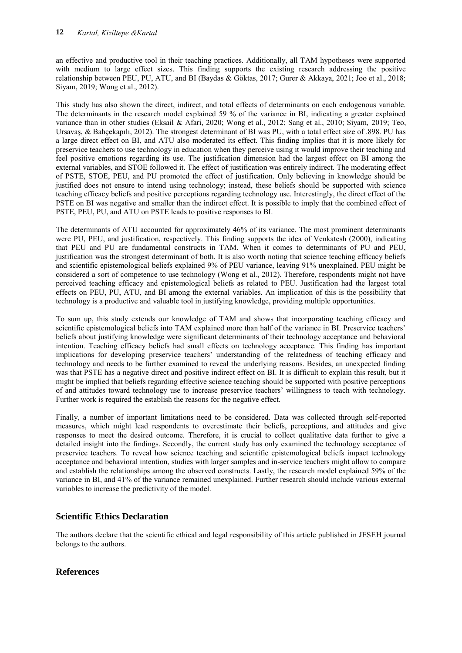an effective and productive tool in their teaching practices. Additionally, all TAM hypotheses were supported with medium to large effect sizes. This finding supports the existing research addressing the positive relationship between PEU, PU, ATU, and BI (Baydas & Göktas, 2017; Gurer & Akkaya, 2021; Joo et al., 2018; Siyam, 2019; Wong et al., 2012).

This study has also shown the direct, indirect, and total effects of determinants on each endogenous variable. The determinants in the research model explained 59 % of the variance in BI, indicating a greater explained variance than in other studies (Eksail & Afari, 2020; Wong et al., 2012; Sang et al., 2010; Siyam, 2019; Teo, Ursavaş, & Bahçekapılı, 2012). The strongest determinant of BI was PU, with a total effect size of .898. PU has a large direct effect on BI, and ATU also moderated its effect. This finding implies that it is more likely for preservice teachers to use technology in education when they perceive using it would improve their teaching and feel positive emotions regarding its use. The justification dimension had the largest effect on BI among the external variables, and STOE followed it. The effect of justification was entirely indirect. The moderating effect of PSTE, STOE, PEU, and PU promoted the effect of justification. Only believing in knowledge should be justified does not ensure to intend using technology; instead, these beliefs should be supported with science teaching efficacy beliefs and positive perceptions regarding technology use. Interestingly, the direct effect of the PSTE on BI was negative and smaller than the indirect effect. It is possible to imply that the combined effect of PSTE, PEU, PU, and ATU on PSTE leads to positive responses to BI.

The determinants of ATU accounted for approximately 46% of its variance. The most prominent determinants were PU, PEU, and justification, respectively. This finding supports the idea of Venkatesh (2000), indicating that PEU and PU are fundamental constructs in TAM. When it comes to determinants of PU and PEU, justification was the strongest determinant of both. It is also worth noting that science teaching efficacy beliefs and scientific epistemological beliefs explained 9% of PEU variance, leaving 91% unexplained. PEU might be considered a sort of competence to use technology (Wong et al., 2012). Therefore, respondents might not have perceived teaching efficacy and epistemological beliefs as related to PEU. Justification had the largest total effects on PEU, PU, ATU, and BI among the external variables. An implication of this is the possibility that technology is a productive and valuable tool in justifying knowledge, providing multiple opportunities.

To sum up, this study extends our knowledge of TAM and shows that incorporating teaching efficacy and scientific epistemological beliefs into TAM explained more than half of the variance in BI. Preservice teachers' beliefs about justifying knowledge were significant determinants of their technology acceptance and behavioral intention. Teaching efficacy beliefs had small effects on technology acceptance. This finding has important implications for developing preservice teachers' understanding of the relatedness of teaching efficacy and technology and needs to be further examined to reveal the underlying reasons. Besides, an unexpected finding was that PSTE has a negative direct and positive indirect effect on BI. It is difficult to explain this result, but it might be implied that beliefs regarding effective science teaching should be supported with positive perceptions of and attitudes toward technology use to increase preservice teachers' willingness to teach with technology. Further work is required the establish the reasons for the negative effect.

Finally, a number of important limitations need to be considered. Data was collected through self-reported measures, which might lead respondents to overestimate their beliefs, perceptions, and attitudes and give responses to meet the desired outcome. Therefore, it is crucial to collect qualitative data further to give a detailed insight into the findings. Secondly, the current study has only examined the technology acceptance of preservice teachers. To reveal how science teaching and scientific epistemological beliefs impact technology acceptance and behavioral intention, studies with larger samples and in-service teachers might allow to compare and establish the relationships among the observed constructs. Lastly, the research model explained 59% of the variance in BI, and 41% of the variance remained unexplained. Further research should include various external variables to increase the predictivity of the model.

## **Scientific Ethics Declaration**

The authors declare that the scientific ethical and legal responsibility of this article published in JESEH journal belongs to the authors.

## **References**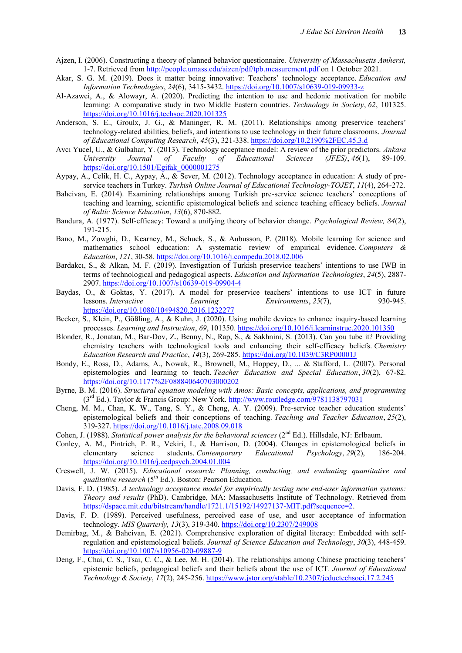- Ajzen, I. (2006). Constructing a theory of planned behavior questionnaire. *University of Massachusetts Amherst,* 1-7. Retrieved from [http://people.umass.edu/aizen/pdf/tpb.measurement.pdf o](http://people.umass.edu/aizen/pdf/tpb.measurement.pdf)n 1 October 2021.
- Akar, S. G. M. (2019). Does it matter being innovative: Teachers' technology acceptance. *Education and Information Technologies*, *24*(6), 3415-3432.<https://doi.org/10.1007/s10639-019-09933-z>
- Al-Azawei, A., & Alowayr, A. (2020). Predicting the intention to use and hedonic motivation for mobile learning: A comparative study in two Middle Eastern countries. *Technology in Society*, *62*, 101325. <https://doi.org/10.1016/j.techsoc.2020.101325>
- Anderson, S. E., Groulx, J. G., & Maninger, R. M. (2011). Relationships among preservice teachers' technology-related abilities, beliefs, and intentions to use technology in their future classrooms. *Journal of Educational Computing Research*, *45*(3), 321-338.<https://doi.org/10.2190%2FEC.45.3.d>
- Avcı Yucel, U., & Gulbahar, Y. (2013). Technology acceptance model: A review of the prior predictors. *Ankara University Journal of Faculty of Educational Sciences (JFES)*, *46*(1), 89-109. [https://doi.org/10.1501/Egifak\\_0000001275](https://doi.org/10.1501/Egifak_0000001275)
- Aypay, A., Celik, H. C., Aypay, A., & Sever, M. (2012). Technology acceptance in education: A study of preservice teachers in Turkey. *Turkish Online Journal of Educational Technology-TOJET*, *11*(4), 264-272.
- Bahcivan, E. (2014). Examining relationships among Turkish pre-service science teachers' conceptions of teaching and learning, scientific epistemological beliefs and science teaching efficacy beliefs. *Journal of Baltic Science Education*, *13*(6), 870-882.
- Bandura, A. (1977). Self-efficacy: Toward a unifying theory of behavior change. *Psychological Review, 84*(2), 191-215.
- Bano, M., Zowghi, D., Kearney, M., Schuck, S., & Aubusson, P. (2018). Mobile learning for science and mathematics school education: A systematic review of empirical evidence. *Computers & Education*, *121*, 30-58.<https://doi.org/10.1016/j.compedu.2018.02.006>
- Bardakcı, S., & Alkan, M. F. (2019). Investigation of Turkish preservice teachers' intentions to use IWB in terms of technological and pedagogical aspects. *Education and Information Technologies*, *24*(5), 2887- 2907[. https://doi.org/10.1007/s10639-019-09904-4](https://doi.org/10.1007/s10639-019-09904-4)
- Baydas, O., & Goktas, Y. (2017). A model for preservice teachers' intentions to use ICT in future lessons. *Interactive Learning Environments*, 25(7), 930-945. Environments, 25(7), <https://doi.org/10.1080/10494820.2016.1232277>
- Becker, S., Klein, P., Gößling, A., & Kuhn, J. (2020). Using mobile devices to enhance inquiry-based learning processes. *Learning and Instruction*, *69*, 101350.<https://doi.org/10.1016/j.learninstruc.2020.101350>
- Blonder, R., Jonatan, M., Bar-Dov, Z., Benny, N., Rap, S., & Sakhnini, S. (2013). Can you tube it? Providing chemistry teachers with technological tools and enhancing their self-efficacy beliefs. *Chemistry Education Research and Practice*, *14*(3), 269-285.<https://doi.org/10.1039/C3RP00001J>
- Bondy, E., Ross, D., Adams, A., Nowak, R., Brownell, M., Hoppey, D., ... & Stafford, L. (2007). Personal epistemologies and learning to teach. *Teacher Education and Special Education*, *30*(2), 67-82. <https://doi.org/10.1177%2F088840640703000202>
- Byrne, B. M. (2016). *Structural equation modeling with Amos: Basic concepts, applications, and programming*  $(3<sup>rd</sup> Ed.)$ . Taylor & Francis Group: New York. http://www.routledge.com/9781138797031
- Cheng, M. M., Chan, K. W., Tang, S. Y., & Cheng, A. Y. (2009). Pre-service teacher education students' epistemological beliefs and their conceptions of teaching. *Teaching and Teacher Education*, *25*(2), 319-327.<https://doi.org/10.1016/j.tate.2008.09.018>
- Cohen, J. (1988). *Statistical power analysis for the behavioral sciences* (2<sup>nd</sup> Ed.). Hillsdale, NJ: Erlbaum.
- Conley, A. M., Pintrich, P. R., Vekiri, I., & Harrison, D. (2004). Changes in epistemological beliefs in elementary science students. *Contemporary Educational Psychology*, *29*(2), 186-204. <https://doi.org/10.1016/j.cedpsych.2004.01.004>
- Creswell, J. W. (2015). *Educational research: Planning, conducting, and evaluating quantitative and qualitative research* (5<sup>th</sup> Ed.). Boston: Pearson Education.
- Davis, F. D. (1985). *A technology acceptance model for empirically testing new end-user information systems: Theory and results* (PhD). Cambridge, MA: Massachusetts Institute of Technology. Retrieved from [https://dspace.mit.edu/bitstream/handle/1721.1/15192/14927137-MIT.pdf?sequence=2.](https://dspace.mit.edu/bitstream/handle/1721.1/15192/14927137-MIT.pdf?sequence=2)
- Davis, F. D. (1989). Perceived usefulness, perceived ease of use, and user acceptance of information technology. *MIS Quarterly, 13*(3), 319-340[. https://doi.org/10.2307/249008](https://doi.org/10.2307/249008)
- Demirbag, M., & Bahcivan, E. (2021). Comprehensive exploration of digital literacy: Embedded with selfregulation and epistemological beliefs. *Journal of Science Education and Technology*, *30*(3), 448-459. <https://doi.org/10.1007/s10956-020-09887-9>
- Deng, F., Chai, C. S., Tsai, C. C., & Lee, M. H. (2014). The relationships among Chinese practicing teachers' epistemic beliefs, pedagogical beliefs and their beliefs about the use of ICT. *Journal of Educational Technology & Society*, *17*(2), 245-256.<https://www.jstor.org/stable/10.2307/jeductechsoci.17.2.245>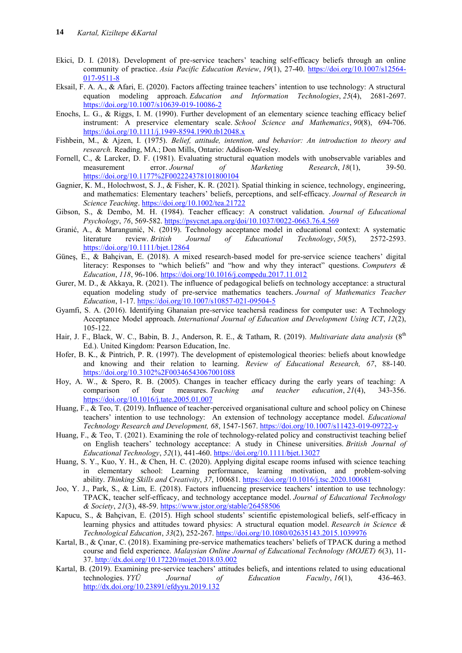- Ekici, D. I. (2018). Development of pre-service teachers' teaching self-efficacy beliefs through an online community of practice. *Asia Pacific Education Review*, *19*(1), 27-40. [https://doi.org/10.1007/s12564-](https://doi.org/10.1007/s12564-017-9511-8) [017-9511-8](https://doi.org/10.1007/s12564-017-9511-8)
- Eksail, F. A. A., & Afari, E. (2020). Factors affecting trainee teachers' intention to use technology: A structural equation modeling approach. *Education and Information Technologies*, *25*(4), 2681-2697. <https://doi.org/10.1007/s10639-019-10086-2>
- Enochs, L. G., & Riggs, I. M. (1990). Further development of an elementary science teaching efficacy belief instrument: A preservice elementary scale. *School Science and Mathematics*, *90*(8), 694-706. <https://doi.org/10.1111/j.1949-8594.1990.tb12048.x>
- Fishbein, M., & Ajzen, I. (1975). *Belief, attitude, intention, and behavior: An introduction to theory and research.* Reading, MA.; Don Mills, Ontario: Addison-Wesley.
- Fornell, C., & Larcker, D. F. (1981). Evaluating structural equation models with unobservable variables and measurement error. Journal of Marketing Research, 18(1), 39-50. measurement error. *Journal of Marketing Research*, *18*(1), 39-50. <https://doi.org/10.1177%2F002224378101800104>
- Gagnier, K. M., Holochwost, S. J., & Fisher, K. R. (2021). Spatial thinking in science, technology, engineering, and mathematics: Elementary teachers' beliefs, perceptions, and self‐efficacy. *Journal of Research in Science Teaching*[. https://doi.org/10.1002/tea.21722](https://doi.org/10.1002/tea.21722)
- Gibson, S., & Dembo, M. H. (1984). Teacher efficacy: A construct validation. *Journal of Educational Psychology*, *76*, 569-582.<https://psycnet.apa.org/doi/10.1037/0022-0663.76.4.569>
- Granić, A., & Marangunić, N. (2019). Technology acceptance model in educational context: A systematic literature review. *British Journal of Educational Technology*, *50*(5), 2572-2593. <https://doi.org/10.1111/bjet.12864>
- Güneş, E., & Bahçivan, E. (2018). A mixed research-based model for pre-service science teachers' digital literacy: Responses to "which beliefs" and "how and why they interact" questions. *Computers & Education*, *118*, 96-106.<https://doi.org/10.1016/j.compedu.2017.11.012>
- Gurer, M. D., & Akkaya, R. (2021). The influence of pedagogical beliefs on technology acceptance: a structural equation modeling study of pre-service mathematics teachers. *Journal of Mathematics Teacher Education*, 1-17.<https://doi.org/10.1007/s10857-021-09504-5>
- Gyamfi, S. A. (2016). Identifying Ghanaian pre-service teachersâ readiness for computer use: A Technology Acceptance Model approach. *International Journal of Education and Development Using ICT*, *12*(2), 105-122.
- Hair, J. F., Black, W. C., Babin, B. J., Anderson, R. E., & Tatham, R. (2019). *Multivariate data analysis* (8<sup>th</sup> Ed.). United Kingdom: Pearson Education, Inc.
- Hofer, B. K., & Pintrich, P. R. (1997). The development of epistemological theories: beliefs about knowledge and knowing and their relation to learning. *Review of Educational Research, 67*, 88-140. <https://doi.org/10.3102%2F00346543067001088>
- Hoy, A. W., & Spero, R. B. (2005). Changes in teacher efficacy during the early years of teaching: A comparison of four measures. Teaching and teacher education, 21(4), 343-356. comparison of four measures. *Teaching and teacher education*, *21*(4), 343-356. <https://doi.org/10.1016/j.tate.2005.01.007>
- Huang, F., & Teo, T. (2019). Influence of teacher-perceived organisational culture and school policy on Chinese teachers' intention to use technology: An extension of technology acceptance model. *Educational Technology Research and Development, 68*, 1547-1567.<https://doi.org/10.1007/s11423-019-09722-y>
- Huang, F., & Teo, T. (2021). Examining the role of technology-related policy and constructivist teaching belief on English teachers' technology acceptance: A study in Chinese universities. *British Journal of Educational Technology*, *52*(1), 441-460.<https://doi.org/10.1111/bjet.13027>
- Huang, S. Y., Kuo, Y. H., & Chen, H. C. (2020). Applying digital escape rooms infused with science teaching in elementary school: Learning performance, learning motivation, and problem-solving ability. *Thinking Skills and Creativity*, *37*, 100681[. https://doi.org/10.1016/j.tsc.2020.100681](https://doi.org/10.1016/j.tsc.2020.100681)
- Joo, Y. J., Park, S., & Lim, E. (2018). Factors influencing preservice teachers' intention to use technology: TPACK, teacher self-efficacy, and technology acceptance model. *Journal of Educational Technology & Society*, *21*(3), 48-59[. https://www.jstor.org/stable/26458506](https://www.jstor.org/stable/26458506)
- Kapucu, S., & Bahçivan, E. (2015). High school students' scientific epistemological beliefs, self-efficacy in learning physics and attitudes toward physics: A structural equation model. *Research in Science & Technological Education*, *33*(2), 252-267.<https://doi.org/10.1080/02635143.2015.1039976>
- Kartal, B., & Çınar, C. (2018). Examining pre-service mathematics teachers' beliefs of TPACK during a method course and field experience. *Malaysian Online Journal of Educational Technology (MOJET) 6*(3), 11- 37.<http://dx.doi.org/10.17220/mojet.2018.03.002>
- Kartal, B. (2019). Examining pre-service teachers' attitudes beliefs, and intentions related to using educational technologies. *YYÜ Journal of Education Faculty*, *16*(1), 436-463. <http://dx.doi.org/10.23891/efdyyu.2019.132>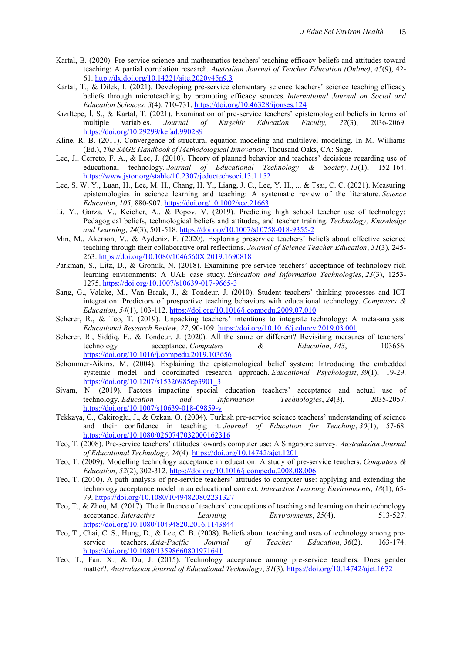- Kartal, B. (2020). Pre-service science and mathematics teachers' teaching efficacy beliefs and attitudes toward teaching: A partial correlation research. *Australian Journal of Teacher Education (Online)*, *45*(9), 42- 61.<http://dx.doi.org/10.14221/ajte.2020v45n9.3>
- Kartal, T., & Dilek, I. (2021). Developing pre-service elementary science teachers' science teaching efficacy beliefs through microteaching by promoting efficacy sources. *International Journal on Social and Education Sciences*, *3*(4), 710-731.<https://doi.org/10.46328/ijonses.124>
- Kızıltepe, İ. S., & Kartal, T. (2021). Examination of pre-service teachers' epistemological beliefs in terms of multiple variables. Journal of Kırşehir Education Faculty, 22(3), 2036-2069. multiple variables. *Journal of Kırşehir Education Faculty, 22*(3), 2036-2069. <https://doi.org/10.29299/kefad.990289>
- Kline, R. B. (2011). Convergence of structural equation modeling and multilevel modeling. In M. Williams (Ed.), *The SAGE Handbook of Methodological Innovation*. Thousand Oaks, CA: Sage.
- Lee, J., Cerreto, F. A., & Lee, J. (2010). Theory of planned behavior and teachers' decisions regarding use of educational technology. *Journal of Educational Technology & Society*, *13*(1), 152-164. <https://www.jstor.org/stable/10.2307/jeductechsoci.13.1.152>
- Lee, S. W. Y., Luan, H., Lee, M. H., Chang, H. Y., Liang, J. C., Lee, Y. H., ... & Tsai, C. C. (2021). Measuring epistemologies in science learning and teaching: A systematic review of the literature. *Science Education*, *105*, 880-907.<https://doi.org/10.1002/sce.21663>
- Li, Y., Garza, V., Keicher, A., & Popov, V. (2019). Predicting high school teacher use of technology: Pedagogical beliefs, technological beliefs and attitudes, and teacher training. *Technology, Knowledge and Learning*, *24*(3), 501-518[. https://doi.org/10.1007/s10758-018-9355-2](https://doi.org/10.1007/s10758-018-9355-2)
- Min, M., Akerson, V., & Aydeniz, F. (2020). Exploring preservice teachers' beliefs about effective science teaching through their collaborative oral reflections. *Journal of Science Teacher Education*, *31*(3), 245- 263.<https://doi.org/10.1080/1046560X.2019.1690818>
- Parkman, S., Litz, D., & Gromik, N. (2018). Examining pre-service teachers' acceptance of technology-rich learning environments: A UAE case study. *Education and Information Technologies*, *23*(3), 1253- 1275[. https://doi.org/10.1007/s10639-017-9665-3](https://doi.org/10.1007/s10639-017-9665-3)
- Sang, G., Valcke, M., Van Braak, J., & Tondeur, J. (2010). Student teachers' thinking processes and ICT integration: Predictors of prospective teaching behaviors with educational technology. *Computers & Education*, *54*(1), 103-112[. https://doi.org/10.1016/j.compedu.2009.07.010](https://doi.org/10.1016/j.compedu.2009.07.010)
- Scherer, R., & Teo, T. (2019). Unpacking teachers' intentions to integrate technology: A meta-analysis. *Educational Research Review, 27*, 90-109[. https://doi.org/10.1016/j.edurev.2019.03.001](https://doi.org/10.1016/j.edurev.2019.03.001)
- Scherer, R., Siddiq, F., & Tondeur, J. (2020). All the same or different? Revisiting measures of teachers' technology acceptance. *Computers & Education*, *143*, 103656. <https://doi.org/10.1016/j.compedu.2019.103656>
- Schommer-Aikins, M. (2004). Explaining the epistemological belief system: Introducing the embedded systemic model and coordinated research approach. *Educational Psychologist*, *39*(1), 19-29. [https://doi.org/10.1207/s15326985ep3901\\_3](https://doi.org/10.1207/s15326985ep3901_3)
- Siyam, N. (2019). Factors impacting special education teachers' acceptance and actual use of technology. *Education and Information Technologies*, *24*(3), 2035-2057. <https://doi.org/10.1007/s10639-018-09859-y>
- Tekkaya, C., Cakiroglu, J., & Ozkan, O. (2004). Turkish pre-service science teachers' understanding of science and their confidence in teaching it. *Journal of Education for Teaching*, *30*(1), 57-68. <https://doi.org/10.1080/0260747032000162316>
- Teo, T. (2008). Pre-service teachers' attitudes towards computer use: A Singapore survey. *Australasian Journal of Educational Technology, 24*(4)[. https://doi.org/10.14742/ajet.1201](https://doi.org/10.14742/ajet.1201)
- Teo, T. (2009). Modelling technology acceptance in education: A study of pre-service teachers. *Computers & Education*, *52*(2), 302-312[. https://doi.org/10.1016/j.compedu.2008.08.006](https://doi.org/10.1016/j.compedu.2008.08.006)
- Teo, T. (2010). A path analysis of pre-service teachers' attitudes to computer use: applying and extending the technology acceptance model in an educational context. *Interactive Learning Environments*, *18*(1), 65- 79.<https://doi.org/10.1080/10494820802231327>
- Teo, T., & Zhou, M. (2017). The influence of teachers' conceptions of teaching and learning on their technology acceptance. *Interactive Learning Environments*, *25*(4), 513-527. <https://doi.org/10.1080/10494820.2016.1143844>
- Teo, T., Chai, C. S., Hung, D., & Lee, C. B. (2008). Beliefs about teaching and uses of technology among pre‐ service teachers. *Asia‐Pacific Journal of Teacher Education*, *36*(2), 163-174. <https://doi.org/10.1080/13598660801971641>
- Teo, T., Fan, X., & Du, J. (2015). Technology acceptance among pre-service teachers: Does gender matter?. *Australasian Journal of Educational Technology*, *31*(3)[. https://doi.org/10.14742/ajet.1672](https://doi.org/10.14742/ajet.1672)